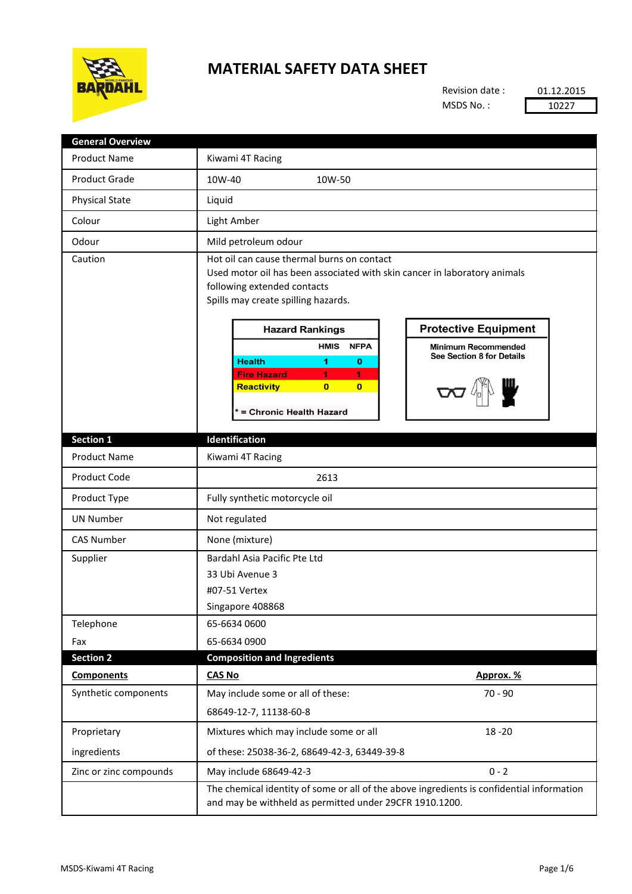

## **MATERIAL SAFETY DATA SHEET**

Revision date : MSDS No. :

01.12.2015 10227

| <b>General Overview</b> |                                                                                                                                                                                                                                                        |
|-------------------------|--------------------------------------------------------------------------------------------------------------------------------------------------------------------------------------------------------------------------------------------------------|
| <b>Product Name</b>     | Kiwami 4T Racing                                                                                                                                                                                                                                       |
| <b>Product Grade</b>    | 10W-40<br>10W-50                                                                                                                                                                                                                                       |
| <b>Physical State</b>   | Liquid                                                                                                                                                                                                                                                 |
| Colour                  | Light Amber                                                                                                                                                                                                                                            |
| Odour                   | Mild petroleum odour                                                                                                                                                                                                                                   |
| Caution                 | Hot oil can cause thermal burns on contact<br>Used motor oil has been associated with skin cancer in laboratory animals<br>following extended contacts<br>Spills may create spilling hazards.<br><b>Protective Equipment</b><br><b>Hazard Rankings</b> |
|                         | <b>HMIS</b><br><b>NFPA</b><br><b>Minimum Recommended</b>                                                                                                                                                                                               |
|                         | See Section 8 for Details<br><b>Health</b><br>1<br>0                                                                                                                                                                                                   |
|                         | <b>Fire Hazard</b><br>1.<br>1<br>$\bf{0}$<br>$\bf{0}$<br><b>Reactivity</b><br>* = Chronic Health Hazard                                                                                                                                                |
| Section 1               | Identification                                                                                                                                                                                                                                         |
| <b>Product Name</b>     | Kiwami 4T Racing                                                                                                                                                                                                                                       |
| Product Code            | 2613                                                                                                                                                                                                                                                   |
| Product Type            | Fully synthetic motorcycle oil                                                                                                                                                                                                                         |
| <b>UN Number</b>        | Not regulated                                                                                                                                                                                                                                          |
| <b>CAS Number</b>       | None (mixture)                                                                                                                                                                                                                                         |
| Supplier                | Bardahl Asia Pacific Pte Ltd<br>33 Ubi Avenue 3                                                                                                                                                                                                        |
|                         | #07-51 Vertex                                                                                                                                                                                                                                          |
|                         | Singapore 408868                                                                                                                                                                                                                                       |
| Telephone               | 65-6634 0600                                                                                                                                                                                                                                           |
| Fax                     | 65-6634 0900                                                                                                                                                                                                                                           |
| <b>Section 2</b>        | <b>Composition and Ingredients</b>                                                                                                                                                                                                                     |
| <b>Components</b>       | Approx. %<br><b>CAS No</b>                                                                                                                                                                                                                             |
| Synthetic components    | $70 - 90$<br>May include some or all of these:                                                                                                                                                                                                         |
|                         | 68649-12-7, 11138-60-8                                                                                                                                                                                                                                 |
| Proprietary             | Mixtures which may include some or all<br>$18 - 20$                                                                                                                                                                                                    |
| ingredients             | of these: 25038-36-2, 68649-42-3, 63449-39-8                                                                                                                                                                                                           |
| Zinc or zinc compounds  | $0 - 2$<br>May include 68649-42-3                                                                                                                                                                                                                      |
|                         | The chemical identity of some or all of the above ingredients is confidential information<br>and may be withheld as permitted under 29CFR 1910.1200.                                                                                                   |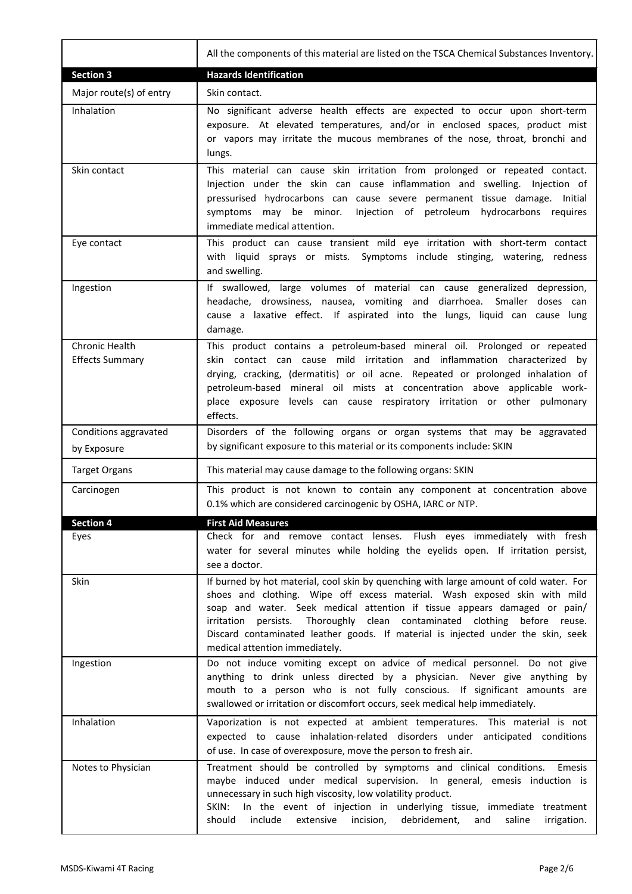|                                                 | All the components of this material are listed on the TSCA Chemical Substances Inventory.                                                                                                                                                                                                                                                                                                                                                                 |
|-------------------------------------------------|-----------------------------------------------------------------------------------------------------------------------------------------------------------------------------------------------------------------------------------------------------------------------------------------------------------------------------------------------------------------------------------------------------------------------------------------------------------|
| <b>Section 3</b>                                | <b>Hazards Identification</b>                                                                                                                                                                                                                                                                                                                                                                                                                             |
| Major route(s) of entry                         | Skin contact.                                                                                                                                                                                                                                                                                                                                                                                                                                             |
| Inhalation                                      | No significant adverse health effects are expected to occur upon short-term<br>exposure. At elevated temperatures, and/or in enclosed spaces, product mist<br>or vapors may irritate the mucous membranes of the nose, throat, bronchi and<br>lungs.                                                                                                                                                                                                      |
| Skin contact                                    | This material can cause skin irritation from prolonged or repeated contact.<br>Injection under the skin can cause inflammation and swelling. Injection of<br>pressurised hydrocarbons can cause severe permanent tissue damage. Initial<br>Injection of petroleum hydrocarbons requires<br>symptoms may be minor.<br>immediate medical attention.                                                                                                         |
| Eye contact                                     | This product can cause transient mild eye irritation with short-term contact<br>with liquid sprays or mists. Symptoms include stinging, watering,<br>redness<br>and swelling.                                                                                                                                                                                                                                                                             |
| Ingestion                                       | If swallowed, large volumes of material can cause generalized depression,<br>headache, drowsiness, nausea, vomiting and diarrhoea. Smaller doses can<br>cause a laxative effect. If aspirated into the lungs, liquid can cause lung<br>damage.                                                                                                                                                                                                            |
| <b>Chronic Health</b><br><b>Effects Summary</b> | This product contains a petroleum-based mineral oil. Prolonged or repeated<br>skin contact can cause mild irritation and inflammation characterized by<br>drying, cracking, (dermatitis) or oil acne. Repeated or prolonged inhalation of<br>petroleum-based mineral oil mists at concentration above applicable work-<br>place exposure levels can cause respiratory irritation or other pulmonary<br>effects.                                           |
| Conditions aggravated<br>by Exposure            | Disorders of the following organs or organ systems that may be aggravated<br>by significant exposure to this material or its components include: SKIN                                                                                                                                                                                                                                                                                                     |
| <b>Target Organs</b>                            | This material may cause damage to the following organs: SKIN                                                                                                                                                                                                                                                                                                                                                                                              |
| Carcinogen                                      | This product is not known to contain any component at concentration above<br>0.1% which are considered carcinogenic by OSHA, IARC or NTP.                                                                                                                                                                                                                                                                                                                 |
| <b>Section 4</b>                                | <b>First Aid Measures</b>                                                                                                                                                                                                                                                                                                                                                                                                                                 |
| Eyes                                            | Check for and remove contact lenses. Flush eyes immediately with fresh<br>water for several minutes while holding the eyelids open. If irritation persist,<br>see a doctor.                                                                                                                                                                                                                                                                               |
| Skin                                            | If burned by hot material, cool skin by quenching with large amount of cold water. For<br>shoes and clothing. Wipe off excess material. Wash exposed skin with mild<br>soap and water. Seek medical attention if tissue appears damaged or pain/<br>Thoroughly clean contaminated clothing before reuse.<br>persists.<br>irritation<br>Discard contaminated leather goods. If material is injected under the skin, seek<br>medical attention immediately. |
| Ingestion                                       | Do not induce vomiting except on advice of medical personnel. Do not give<br>anything to drink unless directed by a physician. Never give anything by<br>mouth to a person who is not fully conscious. If significant amounts are<br>swallowed or irritation or discomfort occurs, seek medical help immediately.                                                                                                                                         |
| Inhalation                                      | Vaporization is not expected at ambient temperatures. This material is not<br>expected to cause inhalation-related disorders under anticipated conditions<br>of use. In case of overexposure, move the person to fresh air.                                                                                                                                                                                                                               |
| Notes to Physician                              | Treatment should be controlled by symptoms and clinical conditions.<br>Emesis<br>maybe induced under medical supervision. In general, emesis induction is<br>unnecessary in such high viscosity, low volatility product.<br>In the event of injection in underlying tissue, immediate treatment<br>SKIN:<br>should<br>include<br>extensive<br>incision,<br>debridement,<br>saline<br>irrigation.<br>and                                                   |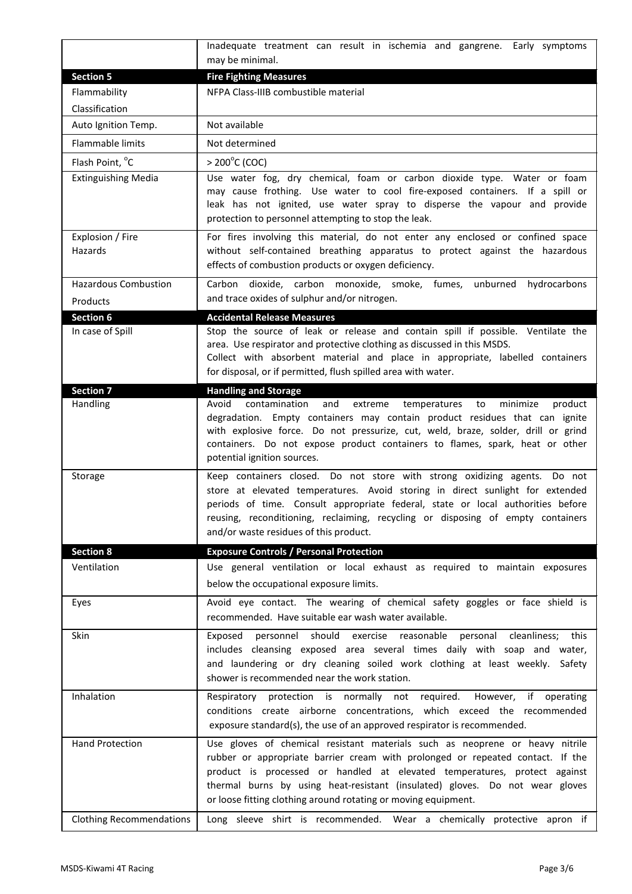|                                       | Inadequate treatment can result in ischemia and gangrene. Early symptoms                                                                                                                                                                                                                                                                                                                      |
|---------------------------------------|-----------------------------------------------------------------------------------------------------------------------------------------------------------------------------------------------------------------------------------------------------------------------------------------------------------------------------------------------------------------------------------------------|
|                                       | may be minimal.                                                                                                                                                                                                                                                                                                                                                                               |
| <b>Section 5</b>                      | <b>Fire Fighting Measures</b>                                                                                                                                                                                                                                                                                                                                                                 |
| Flammability                          | NFPA Class-IIIB combustible material                                                                                                                                                                                                                                                                                                                                                          |
| Classification<br>Auto Ignition Temp. | Not available                                                                                                                                                                                                                                                                                                                                                                                 |
|                                       |                                                                                                                                                                                                                                                                                                                                                                                               |
| <b>Flammable limits</b>               | Not determined                                                                                                                                                                                                                                                                                                                                                                                |
| Flash Point, °C                       | $> 200^{\circ}$ C (COC)                                                                                                                                                                                                                                                                                                                                                                       |
| <b>Extinguishing Media</b>            | Use water fog, dry chemical, foam or carbon dioxide type. Water or foam<br>may cause frothing. Use water to cool fire-exposed containers. If a spill or<br>leak has not ignited, use water spray to disperse the vapour and provide<br>protection to personnel attempting to stop the leak.                                                                                                   |
| Explosion / Fire<br>Hazards           | For fires involving this material, do not enter any enclosed or confined space<br>without self-contained breathing apparatus to protect against the hazardous<br>effects of combustion products or oxygen deficiency.                                                                                                                                                                         |
| <b>Hazardous Combustion</b>           | Carbon dioxide, carbon monoxide, smoke, fumes, unburned<br>hydrocarbons                                                                                                                                                                                                                                                                                                                       |
| Products                              | and trace oxides of sulphur and/or nitrogen.                                                                                                                                                                                                                                                                                                                                                  |
| Section 6                             | <b>Accidental Release Measures</b>                                                                                                                                                                                                                                                                                                                                                            |
| In case of Spill                      | Stop the source of leak or release and contain spill if possible. Ventilate the<br>area. Use respirator and protective clothing as discussed in this MSDS.<br>Collect with absorbent material and place in appropriate, labelled containers<br>for disposal, or if permitted, flush spilled area with water.                                                                                  |
| <b>Section 7</b>                      | <b>Handling and Storage</b>                                                                                                                                                                                                                                                                                                                                                                   |
| Handling                              | contamination<br>Avoid<br>and<br>extreme<br>minimize<br>product<br>temperatures<br>to<br>degradation. Empty containers may contain product residues that can ignite<br>with explosive force. Do not pressurize, cut, weld, braze, solder, drill or grind<br>containers. Do not expose product containers to flames, spark, heat or other<br>potential ignition sources.                       |
| Storage                               | Keep containers closed. Do not store with strong oxidizing agents. Do not<br>store at elevated temperatures. Avoid storing in direct sunlight for extended<br>periods of time. Consult appropriate federal, state or local authorities before<br>reusing, reconditioning, reclaiming, recycling or disposing of empty containers<br>and/or waste residues of this product.                    |
| <b>Section 8</b>                      | <b>Exposure Controls / Personal Protection</b>                                                                                                                                                                                                                                                                                                                                                |
| Ventilation                           | Use general ventilation or local exhaust as required to maintain exposures<br>below the occupational exposure limits.                                                                                                                                                                                                                                                                         |
| Eyes                                  | Avoid eye contact. The wearing of chemical safety goggles or face shield is<br>recommended. Have suitable ear wash water available.                                                                                                                                                                                                                                                           |
| Skin                                  | personnel<br>should<br>exercise reasonable personal cleanliness;<br>Exposed<br>this<br>includes cleansing exposed area several times daily with soap and water,<br>and laundering or dry cleaning soiled work clothing at least weekly. Safety<br>shower is recommended near the work station.                                                                                                |
| Inhalation                            | protection is normally not required.<br>Respiratory<br>However,<br>if operating<br>conditions create airborne concentrations, which exceed the recommended<br>exposure standard(s), the use of an approved respirator is recommended.                                                                                                                                                         |
| <b>Hand Protection</b>                | Use gloves of chemical resistant materials such as neoprene or heavy nitrile<br>rubber or appropriate barrier cream with prolonged or repeated contact. If the<br>product is processed or handled at elevated temperatures, protect against<br>thermal burns by using heat-resistant (insulated) gloves. Do not wear gloves<br>or loose fitting clothing around rotating or moving equipment. |
| <b>Clothing Recommendations</b>       | Long sleeve shirt is recommended. Wear a chemically protective apron if                                                                                                                                                                                                                                                                                                                       |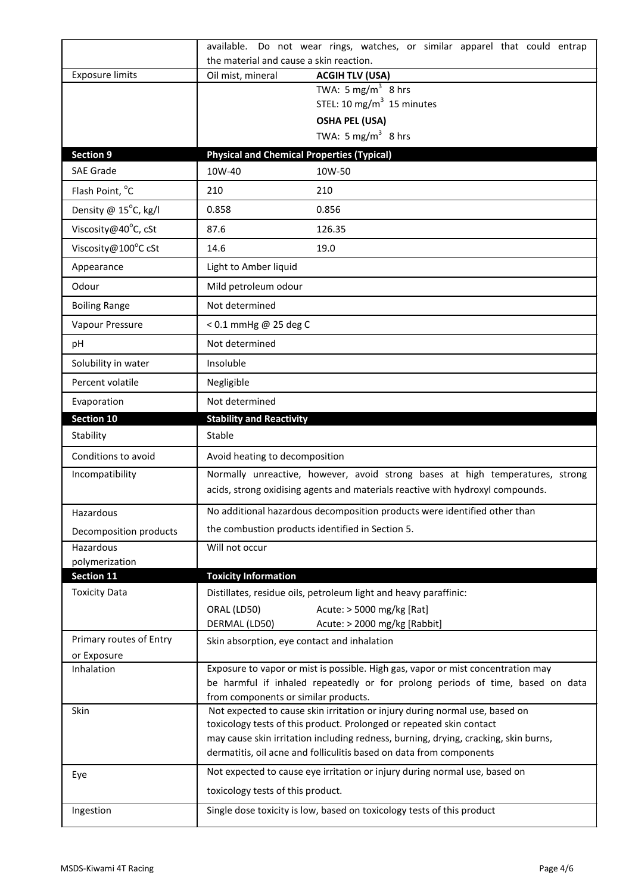|                                     | available. Do not wear rings, watches, or similar apparel that could entrap                                                                                        |
|-------------------------------------|--------------------------------------------------------------------------------------------------------------------------------------------------------------------|
|                                     | the material and cause a skin reaction.                                                                                                                            |
| <b>Exposure limits</b>              | <b>ACGIH TLV (USA)</b><br>Oil mist, mineral<br>TWA: 5 mg/m <sup>3</sup> 8 hrs                                                                                      |
|                                     | STEL: 10 mg/m $3$ 15 minutes                                                                                                                                       |
|                                     | <b>OSHA PEL (USA)</b>                                                                                                                                              |
|                                     | TWA: 5 mg/m <sup>3</sup> 8 hrs                                                                                                                                     |
| <b>Section 9</b>                    | <b>Physical and Chemical Properties (Typical)</b>                                                                                                                  |
| <b>SAE Grade</b>                    | 10W-40<br>10W-50                                                                                                                                                   |
| Flash Point, °C                     | 210<br>210                                                                                                                                                         |
| Density @ 15°C, kg/l                | 0.858<br>0.856                                                                                                                                                     |
| Viscosity@40°C, cSt                 | 87.6<br>126.35                                                                                                                                                     |
| Viscosity@100°C cSt                 | 14.6<br>19.0                                                                                                                                                       |
| Appearance                          | Light to Amber liquid                                                                                                                                              |
| Odour                               | Mild petroleum odour                                                                                                                                               |
| <b>Boiling Range</b>                | Not determined                                                                                                                                                     |
| Vapour Pressure                     | < 0.1 mmHg @ 25 deg C                                                                                                                                              |
| pH                                  | Not determined                                                                                                                                                     |
| Solubility in water                 | Insoluble                                                                                                                                                          |
| Percent volatile                    | Negligible                                                                                                                                                         |
| Evaporation                         | Not determined                                                                                                                                                     |
| <b>Section 10</b>                   | <b>Stability and Reactivity</b>                                                                                                                                    |
| Stability                           | Stable                                                                                                                                                             |
| Conditions to avoid                 | Avoid heating to decomposition                                                                                                                                     |
| Incompatibility                     | Normally unreactive, however, avoid strong bases at high temperatures, strong<br>acids, strong oxidising agents and materials reactive with hydroxyl compounds.    |
| Hazardous                           | No additional hazardous decomposition products were identified other than                                                                                          |
| Decomposition products              | the combustion products identified in Section 5.                                                                                                                   |
| Hazardous                           | Will not occur                                                                                                                                                     |
| polymerization<br><b>Section 11</b> | <b>Toxicity Information</b>                                                                                                                                        |
| <b>Toxicity Data</b>                | Distillates, residue oils, petroleum light and heavy paraffinic:                                                                                                   |
|                                     | Acute: > 5000 mg/kg [Rat]<br>ORAL (LD50)<br>DERMAL (LD50)<br>Acute: > 2000 mg/kg [Rabbit]                                                                          |
| Primary routes of Entry             | Skin absorption, eye contact and inhalation                                                                                                                        |
| or Exposure                         |                                                                                                                                                                    |
| Inhalation                          | Exposure to vapor or mist is possible. High gas, vapor or mist concentration may<br>be harmful if inhaled repeatedly or for prolong periods of time, based on data |
| Skin                                | from components or similar products.<br>Not expected to cause skin irritation or injury during normal use, based on                                                |
|                                     | toxicology tests of this product. Prolonged or repeated skin contact<br>may cause skin irritation including redness, burning, drying, cracking, skin burns,        |
|                                     | dermatitis, oil acne and folliculitis based on data from components                                                                                                |
| Eye                                 | Not expected to cause eye irritation or injury during normal use, based on                                                                                         |
|                                     | toxicology tests of this product.                                                                                                                                  |
| Ingestion                           | Single dose toxicity is low, based on toxicology tests of this product                                                                                             |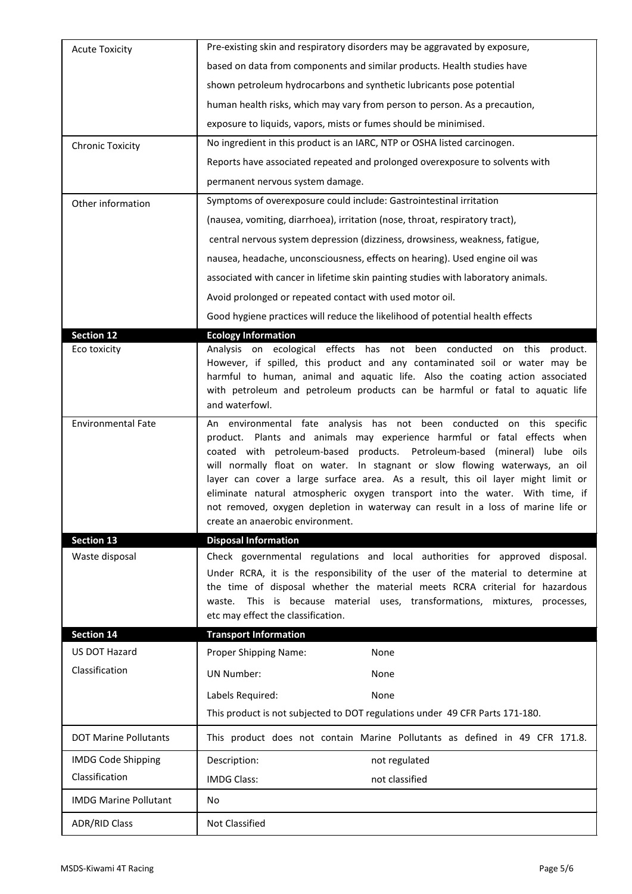| <b>Acute Toxicity</b>        | Pre-existing skin and respiratory disorders may be aggravated by exposure,                                                                                                                                                                                                                                                                                                                                                                                                                                                                                                                                 |
|------------------------------|------------------------------------------------------------------------------------------------------------------------------------------------------------------------------------------------------------------------------------------------------------------------------------------------------------------------------------------------------------------------------------------------------------------------------------------------------------------------------------------------------------------------------------------------------------------------------------------------------------|
|                              | based on data from components and similar products. Health studies have                                                                                                                                                                                                                                                                                                                                                                                                                                                                                                                                    |
|                              | shown petroleum hydrocarbons and synthetic lubricants pose potential                                                                                                                                                                                                                                                                                                                                                                                                                                                                                                                                       |
|                              | human health risks, which may vary from person to person. As a precaution,                                                                                                                                                                                                                                                                                                                                                                                                                                                                                                                                 |
|                              | exposure to liquids, vapors, mists or fumes should be minimised.                                                                                                                                                                                                                                                                                                                                                                                                                                                                                                                                           |
| <b>Chronic Toxicity</b>      | No ingredient in this product is an IARC, NTP or OSHA listed carcinogen.                                                                                                                                                                                                                                                                                                                                                                                                                                                                                                                                   |
|                              | Reports have associated repeated and prolonged overexposure to solvents with                                                                                                                                                                                                                                                                                                                                                                                                                                                                                                                               |
|                              | permanent nervous system damage.                                                                                                                                                                                                                                                                                                                                                                                                                                                                                                                                                                           |
| Other information            | Symptoms of overexposure could include: Gastrointestinal irritation                                                                                                                                                                                                                                                                                                                                                                                                                                                                                                                                        |
|                              | (nausea, vomiting, diarrhoea), irritation (nose, throat, respiratory tract),                                                                                                                                                                                                                                                                                                                                                                                                                                                                                                                               |
|                              | central nervous system depression (dizziness, drowsiness, weakness, fatigue,                                                                                                                                                                                                                                                                                                                                                                                                                                                                                                                               |
|                              | nausea, headache, unconsciousness, effects on hearing). Used engine oil was                                                                                                                                                                                                                                                                                                                                                                                                                                                                                                                                |
|                              | associated with cancer in lifetime skin painting studies with laboratory animals.                                                                                                                                                                                                                                                                                                                                                                                                                                                                                                                          |
|                              | Avoid prolonged or repeated contact with used motor oil.                                                                                                                                                                                                                                                                                                                                                                                                                                                                                                                                                   |
|                              | Good hygiene practices will reduce the likelihood of potential health effects                                                                                                                                                                                                                                                                                                                                                                                                                                                                                                                              |
| <b>Section 12</b>            | <b>Ecology Information</b>                                                                                                                                                                                                                                                                                                                                                                                                                                                                                                                                                                                 |
| Eco toxicity                 | Analysis on ecological effects has not been conducted<br>on this product.<br>However, if spilled, this product and any contaminated soil or water may be<br>harmful to human, animal and aquatic life. Also the coating action associated<br>with petroleum and petroleum products can be harmful or fatal to aquatic life<br>and waterfowl.                                                                                                                                                                                                                                                               |
| <b>Environmental Fate</b>    | An environmental fate analysis has not been conducted on this specific<br>product. Plants and animals may experience harmful or fatal effects when<br>coated with petroleum-based products. Petroleum-based (mineral) lube oils<br>will normally float on water. In stagnant or slow flowing waterways, an oil<br>layer can cover a large surface area. As a result, this oil layer might limit or<br>eliminate natural atmospheric oxygen transport into the water. With time, if<br>not removed, oxygen depletion in waterway can result in a loss of marine life or<br>create an anaerobic environment. |
| <b>Section 13</b>            | <b>Disposal Information</b>                                                                                                                                                                                                                                                                                                                                                                                                                                                                                                                                                                                |
| Waste disposal               | Check governmental regulations and local authorities for approved disposal.<br>Under RCRA, it is the responsibility of the user of the material to determine at<br>the time of disposal whether the material meets RCRA criterial for hazardous<br>waste. This is because material uses, transformations, mixtures, processes,<br>etc may effect the classification.                                                                                                                                                                                                                                       |
| <b>Section 14</b>            | <b>Transport Information</b>                                                                                                                                                                                                                                                                                                                                                                                                                                                                                                                                                                               |
| US DOT Hazard                | Proper Shipping Name:<br>None                                                                                                                                                                                                                                                                                                                                                                                                                                                                                                                                                                              |
| Classification               | <b>UN Number:</b><br>None                                                                                                                                                                                                                                                                                                                                                                                                                                                                                                                                                                                  |
|                              | Labels Required:<br>None                                                                                                                                                                                                                                                                                                                                                                                                                                                                                                                                                                                   |
|                              | This product is not subjected to DOT regulations under 49 CFR Parts 171-180.                                                                                                                                                                                                                                                                                                                                                                                                                                                                                                                               |
| <b>DOT Marine Pollutants</b> | This product does not contain Marine Pollutants as defined in 49 CFR 171.8.                                                                                                                                                                                                                                                                                                                                                                                                                                                                                                                                |
| <b>IMDG Code Shipping</b>    | Description:<br>not regulated                                                                                                                                                                                                                                                                                                                                                                                                                                                                                                                                                                              |
|                              |                                                                                                                                                                                                                                                                                                                                                                                                                                                                                                                                                                                                            |
| Classification               | not classified<br><b>IMDG Class:</b>                                                                                                                                                                                                                                                                                                                                                                                                                                                                                                                                                                       |
| <b>IMDG Marine Pollutant</b> | No.                                                                                                                                                                                                                                                                                                                                                                                                                                                                                                                                                                                                        |